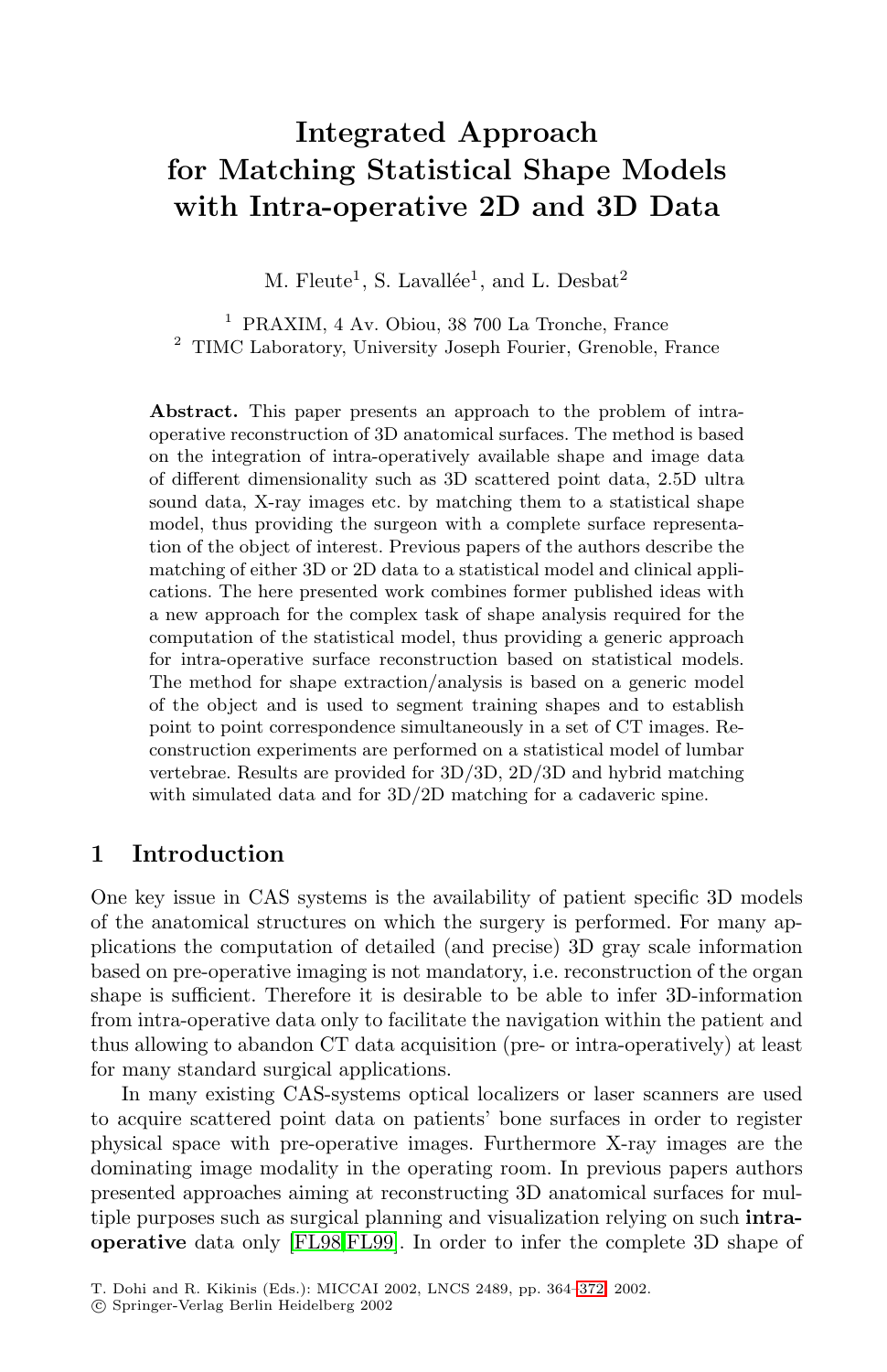# **Integrated Approach for Matching Statistical Shape Models with Intra-operative 2D and 3D Data**

M. Fleute<sup>1</sup>, S. Lavallée<sup>1</sup>, and L. Desbat<sup>2</sup>

<sup>1</sup> PRAXIM, 4 Av. Obiou, 38 700 La Tronche, France <sup>2</sup> TIMC Laboratory, University Joseph Fourier, Grenoble, France

**Abstract.** This paper presents an approach to the problem of intraoperative reconstruction of 3D anatomical surfaces. The method is based on the integration of intra-operatively available shape and image data of different dimensionality such as 3D scattered point data, 2.5D ultra sound data, X-ray images etc. by matching them to a statistical shape model, thus providing the surgeon with a complete surface representation of the object of interest. Previous papers of the authors describe the matching of either 3D or 2D data to a statistical model and clinical applications. The here presented work combines former published ideas with a new approach for the complex task of shape analysis required for the computation of the statistical model, thus providing a generic approach for intra-operative surface reconstruction based on statistical models. The method for shape extraction/analysis is based on a generic model of the object and is used to segment training shapes and to establish point to point correspondence simultaneously in a set of CT images. Reconstruction experiments are performed on a statistical model of lumbar vertebrae. Results are provided for 3D/3D, 2D/3D and hybrid matching with simulated data and for 3D/2D matching for a cadaveric spine.

### **1 Introduction**

One key issue in CAS systems is the availability of patient specific 3D models of the anatomical structures on which the surgery is performed. For many applications the computation of detailed (and precise) 3D gray scale information based on pre-operative imaging is not mandatory, i.e. reconstruction of the organ shape is sufficient. Therefore it is desirable to be able to infer 3D-information from intra-operative data only to facilitate the navigation within the patient and thus allowing to abandon CT data acquisition (pre- or intra-operatively) at least for many standard surgical applications.

In many existing CAS-systems optical localizers or laser scanners are used t[o acquire sca](#page-7-0)ttered point data on patients' bone surfaces in order to register physical space with pre-operative images. Furthermore X-ray images are the dominating image modality in t[he op](#page-8-0)erating room. In previous papers authors presented approaches aiming at reconstructing 3D anatomical surfaces for multiple purposes such as surgical planning and visualization relying on such **intraoperative** data only [FL98,FL99]. In order to infer the complete 3D shape of

T. Dohi and R. Kikinis (Eds.): MICCAI 2002, LNCS 2489, pp. 364–372, 2002.

c Springer-Verlag Berlin Heidelberg 2002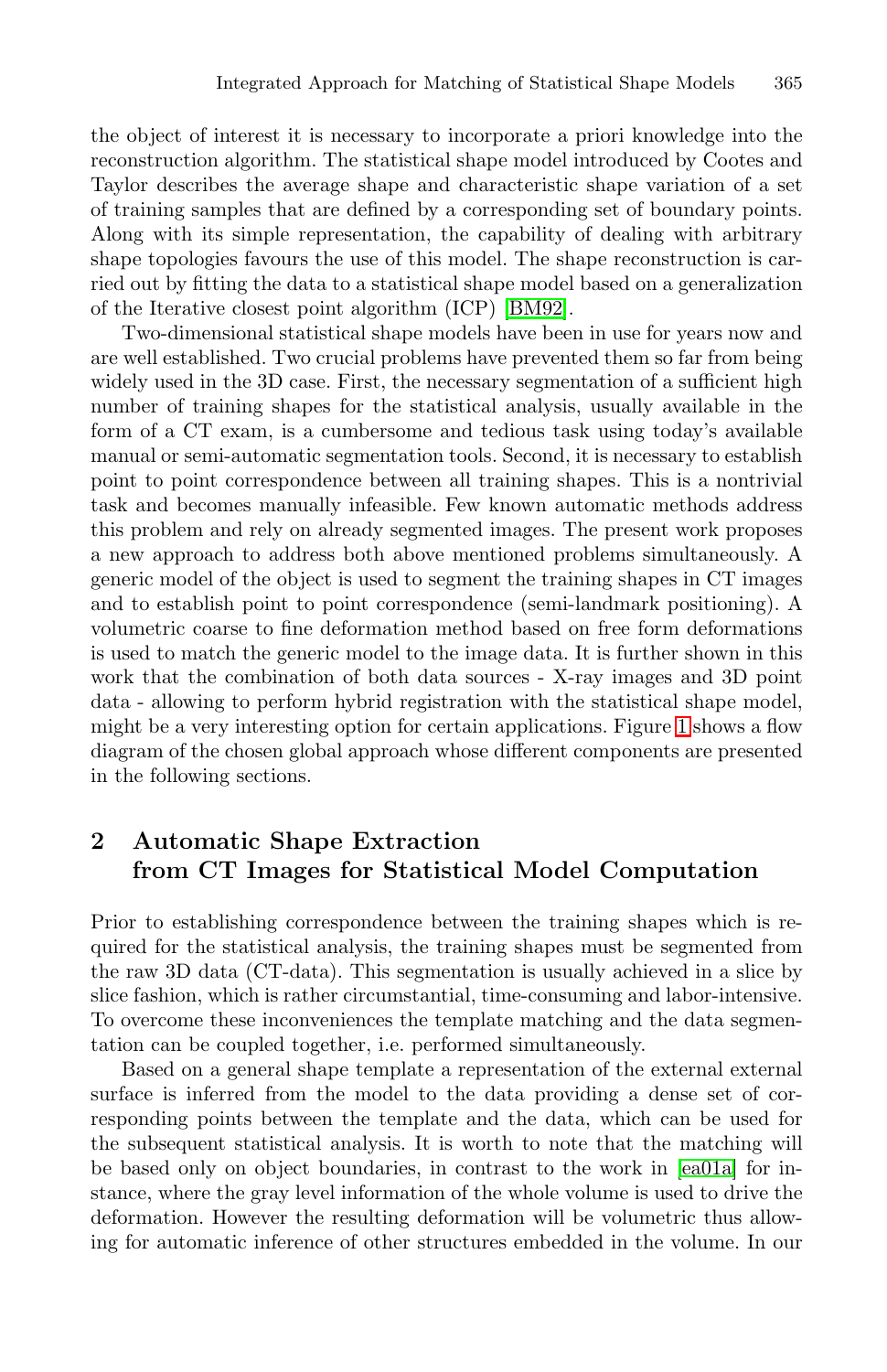the object of interest it is necessary to incorporate a priori knowledge into the reconstruction algorithm. The statistical shape model introduced by Cootes and Taylor describes the average shape and characteristic shape variation of a set of training samples that are defined by a corresponding set of boundary points. Along with its simple representation, the capability of dealing with arbitrary shape topologies favours the use of this model. The shape reconstruction is carried out by fitting the data to a statistical shape model based on a generalization of the Iterative closest point algorithm (ICP) [\[BM92\]](#page-6-0).

Two-dimensional statistical shape models have been in use for years now and are well established. Two crucial problems have prevented them so far from being widely used in the 3D case. First, the necessary segmentation of a sufficient high number of training shapes for the statistical analysis, usually available in the form of a CT exam, is a cumbersome and tedious task using today's available manual or semi-automatic segmentation tools. Second, it is necessary to establish point to point correspondence between all training shapes. This is a nontrivial task and becomes manually infeasible. Few known automatic methods address this problem and rely on already segmented images. The present work proposes a new approach to address both above mentioned problems simultaneously. A generic model of the object is used to segment the training shapes in CT images and to establish point to point correspondence (semi-landmark positioning). A volumetric coarse to fine deformation method based on free form deformations is used to match the generic model to the image data. It is further shown in this work that the combination of both data sources - X-ray images and 3D point data - allowing to perform hybrid registration with the statistical shape model, might be a very interesting option for certain applications. Figure [1](#page-2-0) shows a flow diagram of the chosen global approach whose different components are presented in the following sections.

# **2 Automatic Shape Extraction from CT Images for Statistical Model Computation**

Prior to establishing correspondence between the training shapes which is required for the statistical analysis, the training shapes must be segmented from the raw 3D data (CT-data). This segmentation is usually achieved in a slice by slice fashion, which is rather circumstantial, time-consuming and labor-intensive. To overcome these inconveniences the template matching and the data segmentation can be coupled together, i.e. performed simultaneously.

Based on a general shape template a representation of the external external surface is inferred from the model to the data providing a dense set of corresponding points between the template and the data, which can be used for the subsequent statistical analysis. It is worth to note that the matching will be based only on object boundaries, in contrast to the work in [\[ea01a\]](#page-7-0) for instance, where the gray level information of the whole volume is used to drive the deformation. However the resulting deformation will be volumetric thus allowing for automatic inference of other structures embedded in the volume. In our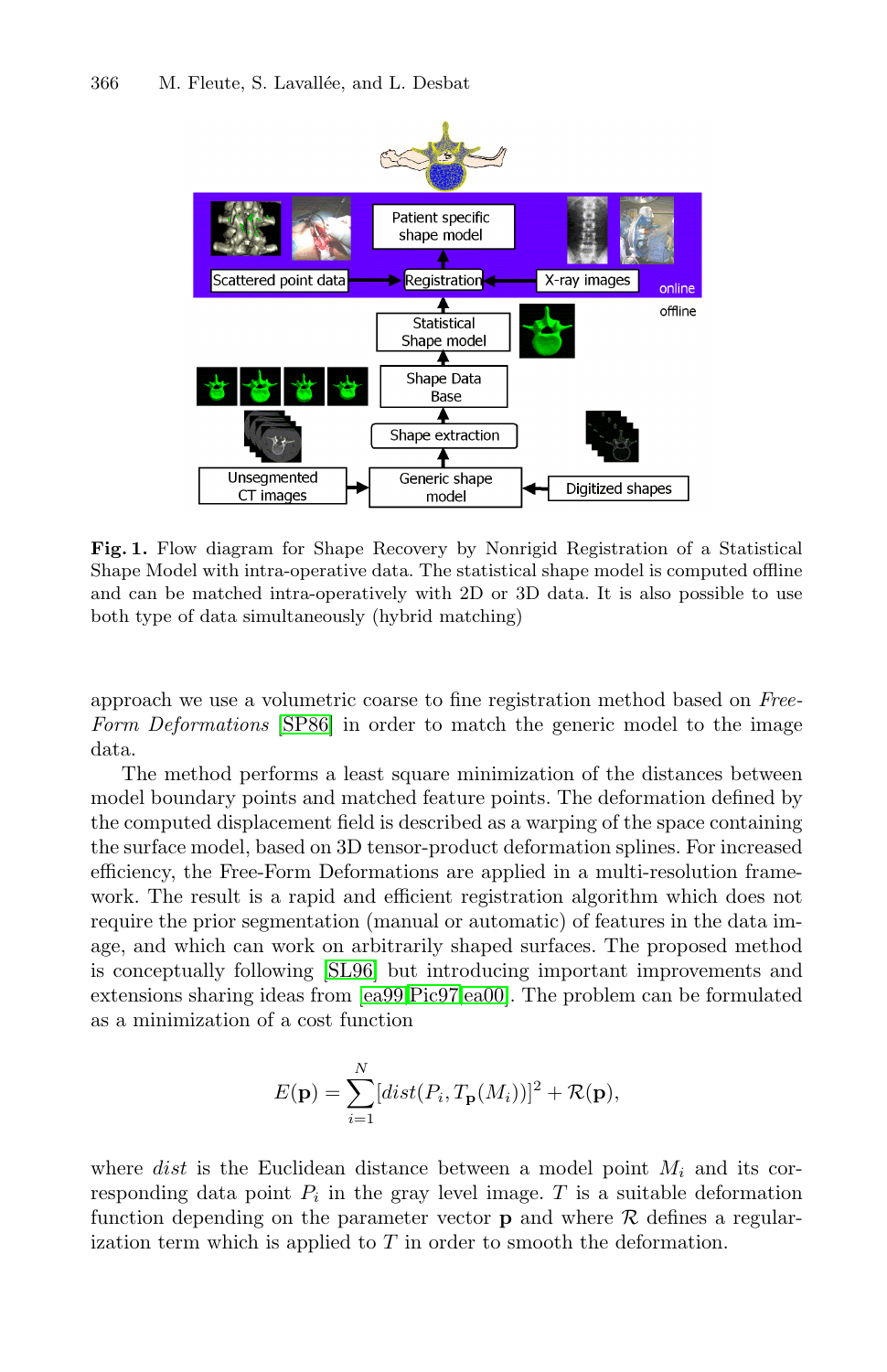<span id="page-2-0"></span>

**Fig. 1.** Flow diagram for Shape Recovery by Nonrigid Registration of a Statistical Shape Model with intra-operative data. The statistical shape model is computed offline and can be matched intra-operatively with 2D or 3D data. It is also possible to use both type of data simultaneously (hybrid matching)

approach we use a volumetric coarse to fine registration method based on Free-Form Deformations  $[SP86]$  in order to match the generic model to the image data.

The method performs a least square minimization of the distances between model boundary points and matched feature points. The deformation defined by the computed displacement field is described as a warping of the space containing the surface model, based on 3D tensor-product deformation splines. For increased efficiency, the Free-Form Deformations are applied in a multi-resolution framework. The result is a rapid and efficient registration algorithm which does not require the prior segmentation (manual or automatic) of features in the data image, and which can work on arbitrarily shaped surfaces. The proposed method is conceptually following [\[SL96\]](#page-7-0) but introducing important improvements and extensions sharing ideas from [\[ea99,](#page-6-0)[Pic97,ea00\]](#page-7-0). The problem can be formulated as a minimization of a cost function

$$
E(\mathbf{p}) = \sum_{i=1}^{N} [dist(P_i, T_{\mathbf{p}}(M_i))]^2 + \mathcal{R}(\mathbf{p}),
$$

where dist is the Euclidean distance between a model point  $M_i$  and its corresponding data point  $P_i$  in the gray level image. T is a suitable deformation function depending on the parameter vector  $\bf{p}$  and where  $\mathcal R$  defines a regularization term which is applied to  $T$  in order to smooth the deformation.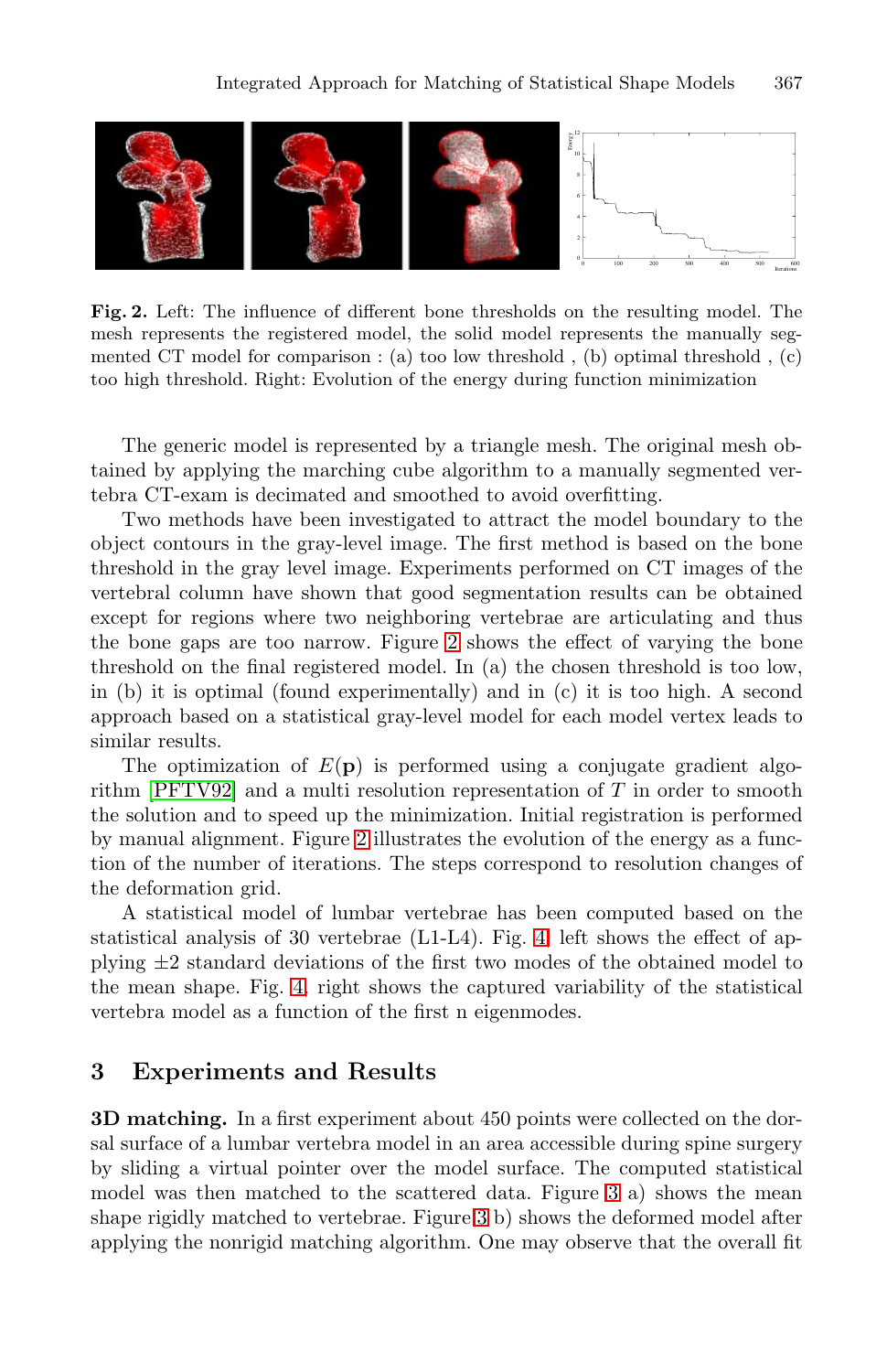<span id="page-3-0"></span>

**Fig. 2.** Left: The influence of different bone thresholds on the resulting model. The mesh represents the registered model, the solid model represents the manually segmented CT model for comparison : (a) too low threshold , (b) optimal threshold , (c) too high threshold. Right: Evolution of the energy during function minimization

The generic model is represented by a triangle mesh. The original mesh obtained by applying the marching cube algorithm to a manually segmented vertebra CT-exam is decimated and smoothed to avoid overfitting.

Two methods have been investigated to attract the model boundary to the object contours in the gray-level image. The first method is based on the bone threshold in the gray level image. Experiments performed on CT images of the vertebral column have shown that good segmentation results can be obtained except for regions where two neighboring vertebrae are articulating and thus the bone gaps are too narrow. Figure 2 shows the effect of varying the bone threshold on the final registered model. In (a) the chosen threshold is too low, in (b) it is optimal (found experimentally) and in (c) it is too high. A second approach based on a statistical gray-level model for each model vertex leads to similar results.

The optimization of  $E(\mathbf{p})$  is performed using a conjugate gradient algorithm [\[PFTV92\]](#page-7-0) and a multi resolution representation of T in order to smooth the solution and to speed up the minimization. Initial registration is performed by manual alignment. Figure 2 illustrates the evolution of the energy as a function of the number of iterations. The steps correspond to resolution changes of the deformation grid.

A statistical model of lumbar vertebrae has been computed based on the statistical analysis of 30 vertebrae (L1-L4). Fig. [4,](#page-4-0) left shows the effect of applying  $\pm 2$  standard deviations of the first two modes of the obtained model to the mean shape. Fig. [4,](#page-4-0) right shows the captured variability of the statistical vertebra model as a function of the first n eigenmodes.

### **3 Experiments and Results**

**3D matching.** In a first experiment about 450 points were collected on the dorsal surface of a lumbar vertebra model in an area accessible during spine surgery by sliding a virtual pointer over the model surface. The computed statistical model was then matched to the scattered data. Figure [3](#page-4-0) a) shows the mean shape rigidly matched to vertebrae. Figure [3](#page-4-0) b) shows the deformed model after applying the nonrigid matching algorithm. One may observe that the overall fit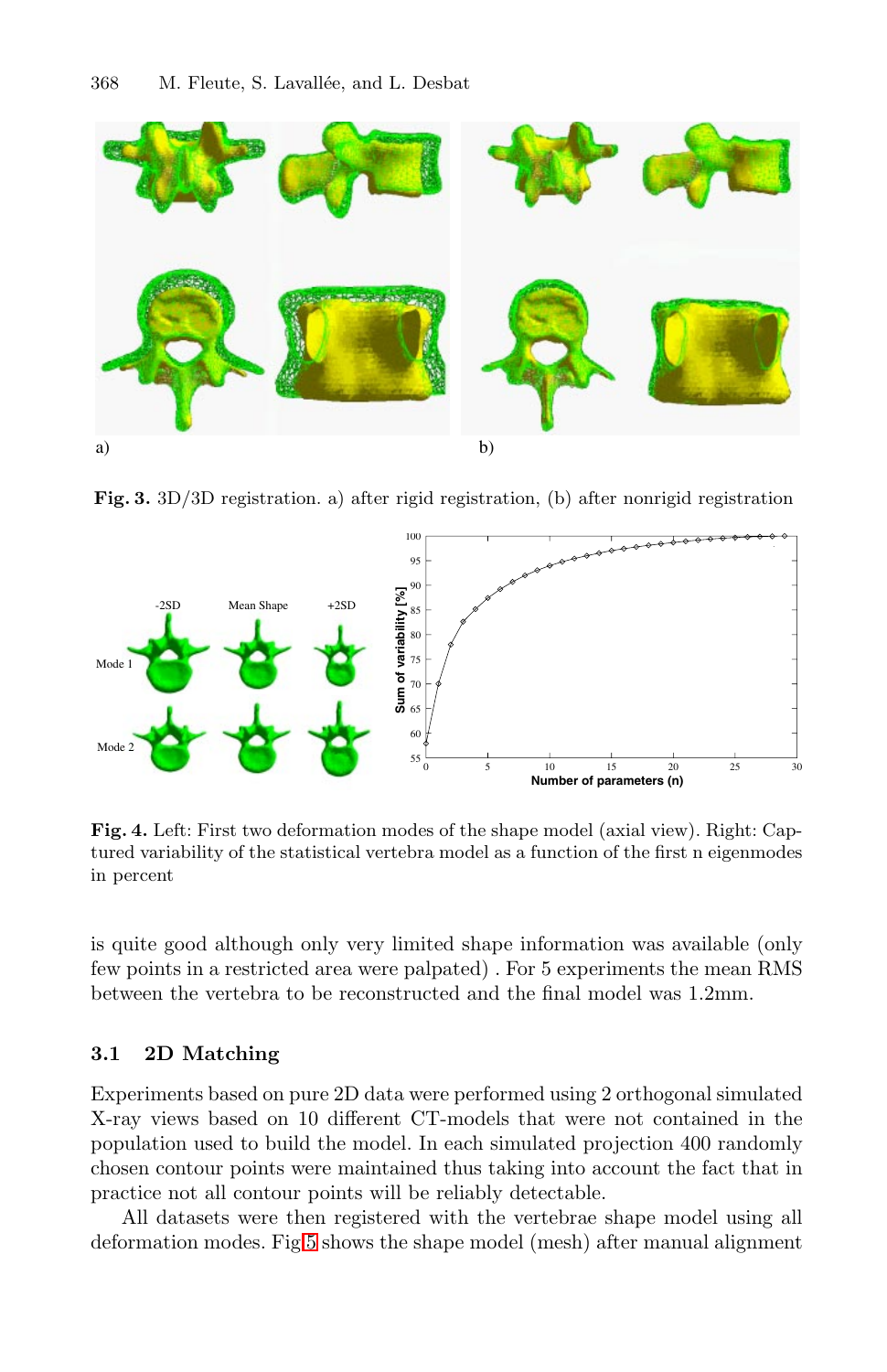<span id="page-4-0"></span>

Fig. 3. 3D/3D registration. a) after rigid registration, (b) after nonrigid registration



**Fig. 4.** Left: First two deformation modes of the shape model (axial view). Right: Captured variability of the statistical vertebra model as a function of the first n eigenmodes in percent

is quite good although only very limited shape information was available (only few points in a restricted area were palpated) . For 5 experiments the mean RMS between the vertebra to be reconstructed and the final model was 1.2mm.

#### **3.1 2D Matching**

Experiments based on pure 2D data were performed using 2 orthogonal simulated X-ray views based on 10 different CT-models that were not contained in the population used to build the model. In each simulated projection 400 randomly chosen contour points were maintained thus taking into account the fact that in practice not all contour points will be reliably detectable.

All datasets were then registered with the vertebrae shape model using all deformation modes. Fig [5](#page-5-0) shows the shape model (mesh) after manual alignment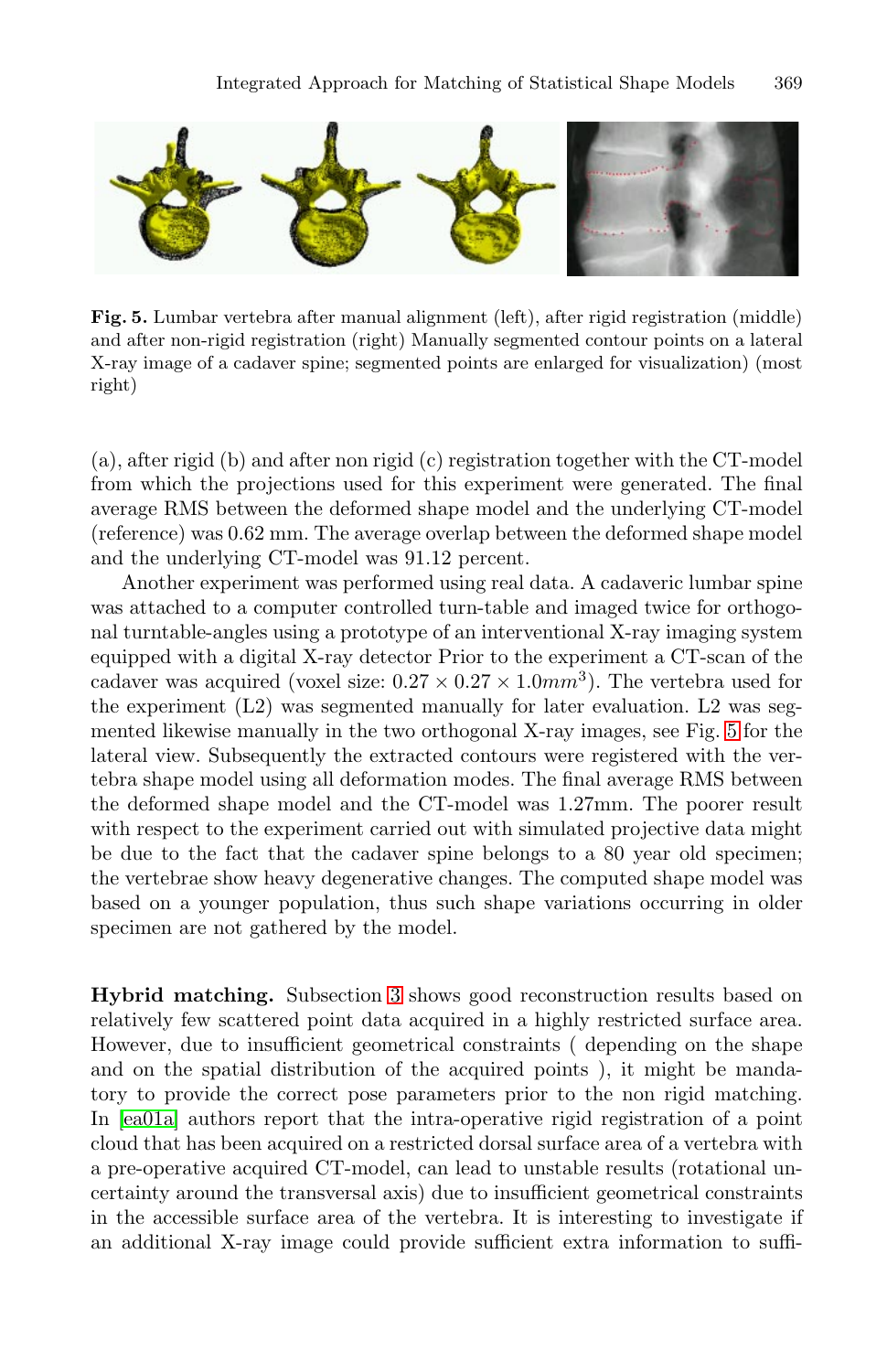<span id="page-5-0"></span>

**Fig. 5.** Lumbar vertebra after manual alignment (left), after rigid registration (middle) and after non-rigid registration (right) Manually segmented contour points on a lateral X-ray image of a cadaver spine; segmented points are enlarged for visualization) (most right)

(a), after rigid (b) and after non rigid (c) registration together with the CT-model from which the projections used for this experiment were generated. The final average RMS between the deformed shape model and the underlying CT-model (reference) was 0.62 mm. The average overlap between the deformed shape model and the underlying CT-model was 91.12 percent.

Another experiment was performed using real data. A cadaveric lumbar spine was attached to a computer controlled turn-table and imaged twice for orthogonal turntable-angles using a prototype of an interventional X-ray imaging system equipped with a digital X-ray detector Prior to the experiment a CT-scan of the cadaver was acquired (voxel size:  $0.27 \times 0.27 \times 1.0 \text{mm}^3$ ). The vertebra used for the experiment (L2) was segmented manually for later evaluation. L2 was segmented likewise manually in the two orthogonal X-ray images, see Fig. 5 for the lateral view. Subsequently the extracted contours were registered with the vertebra shape model using all deformation modes. The final average RMS between the deformed shape model and the CT-model was 1.27mm. The poorer result with respect to the experiment carried out with simulated projective data might be due to the fact that the cadaver spine belongs to a 80 year old specimen; the vertebrae show heavy degenerative changes. The computed shape model was based on a younger population, thus such shape variations occurring in older specimen are not gathered by the model.

**Hybrid matching.** Subsection [3](#page-3-0) shows good reconstruction results based on relatively few scattered point data acquired in a highly restricted surface area. However, due to insufficient geometrical constraints ( depending on the shape and on the spatial distribution of the acquired points ), it might be mandatory to provide the correct pose parameters prior to the non rigid matching. In [\[ea01a\]](#page-7-0) authors report that the intra-operative rigid registration of a point cloud that has been acquired on a restricted dorsal surface area of a vertebra with a pre-operative acquired CT-model, can lead to unstable results (rotational uncertainty around the transversal axis) due to insufficient geometrical constraints in the accessible surface area of the vertebra. It is interesting to investigate if an additional X-ray image could provide sufficient extra information to suffi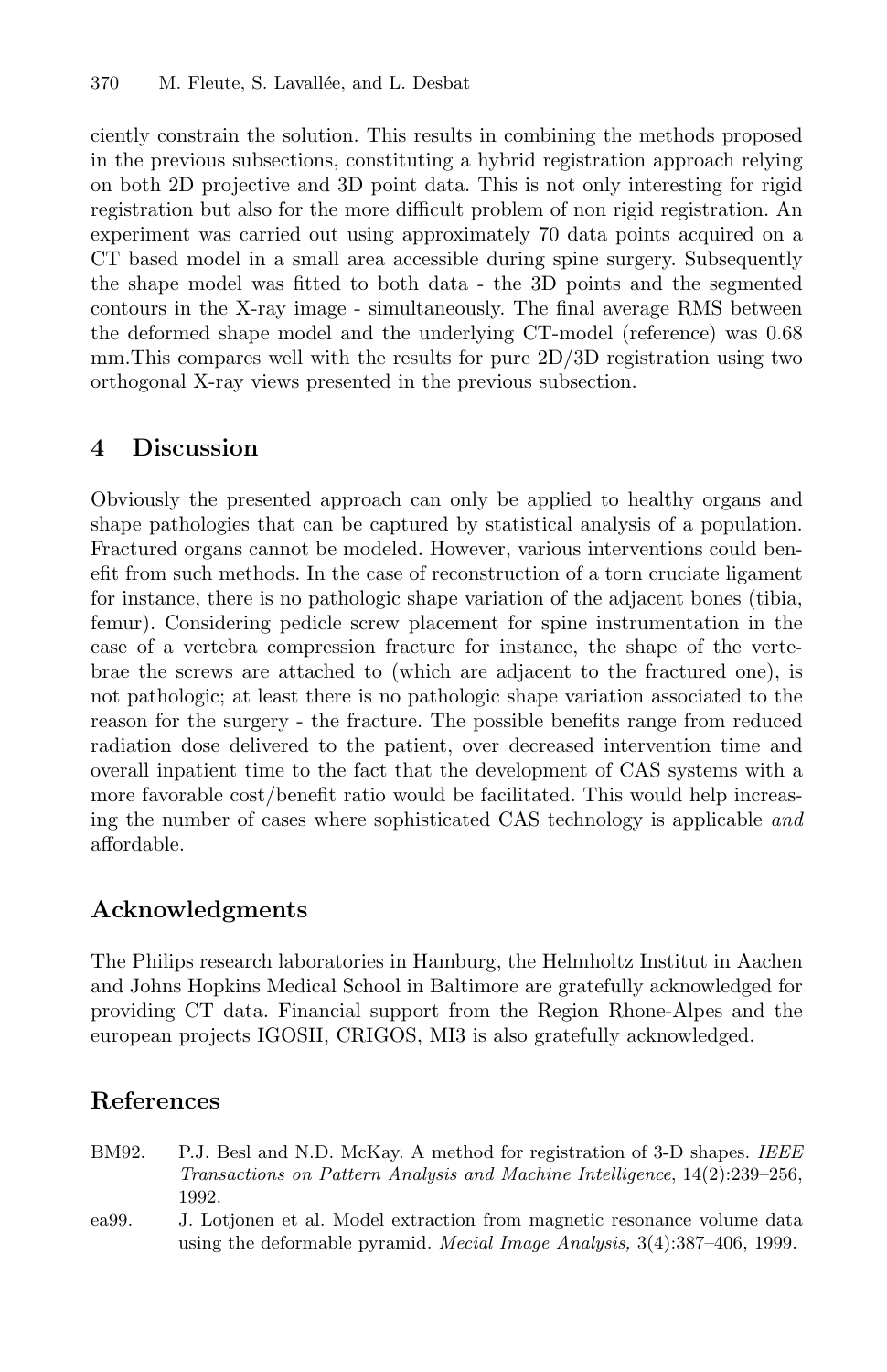<span id="page-6-0"></span>ciently constrain the solution. This results in combining the methods proposed in the previous subsections, constituting a hybrid registration approach relying on both 2D projective and 3D point data. This is not only interesting for rigid registration but also for the more difficult problem of non rigid registration. An experiment was carried out using approximately 70 data points acquired on a CT based model in a small area accessible during spine surgery. Subsequently the shape model was fitted to both data - the 3D points and the segmented contours in the X-ray image - simultaneously. The final average RMS between the deformed shape model and the underlying CT-model (reference) was 0.68 mm.This compares well with the results for pure 2D/3D registration using two orthogonal X-ray views presented in the previous subsection.

# **4 Discussion**

Obviously the presented approach can only be applied to healthy organs and shape pathologies that can be captured by statistical analysis of a population. Fractured organs cannot be modeled. However, various interventions could benefit from such methods. In the case of reconstruction of a torn cruciate ligament for instance, there is no pathologic shape variation of the adjacent bones (tibia, femur). Considering pedicle screw placement for spine instrumentation in the case of a vertebra compression fracture for instance, the shape of the vertebrae the screws are attached to (which are adjacent to the fractured one), is not pathologic; at least there is no pathologic shape variation associated to the reason for the surgery - the fracture. The possible benefits range from reduced radiation dose delivered to the patient, over decreased intervention time and overall inpatient time to the fact that the development of CAS systems with a more favorable cost/benefit ratio would be facilitated. This would help increasing the number of cases where sophisticated CAS technology is applicable and affordable.

# **Acknowledgments**

The Philips research laboratories in Hamburg, the Helmholtz Institut in Aachen and Johns Hopkins Medical School in Baltimore are gratefully acknowledged for providing CT data. Financial support from the Region Rhone-Alpes and the european projects IGOSII, CRIGOS, MI3 is also gratefully acknowledged.

# **References**

- BM92. P.J. Besl and N.D. McKay. A method for registration of 3-D shapes. IEEE Transactions on Pattern Analysis and Machine Intelligence, 14(2):239–256, 1992.
- ea99. J. Lotjonen et al. Model extraction from magnetic resonance volume data using the deformable pyramid. Mecial Image Analysis, 3(4):387–406, 1999.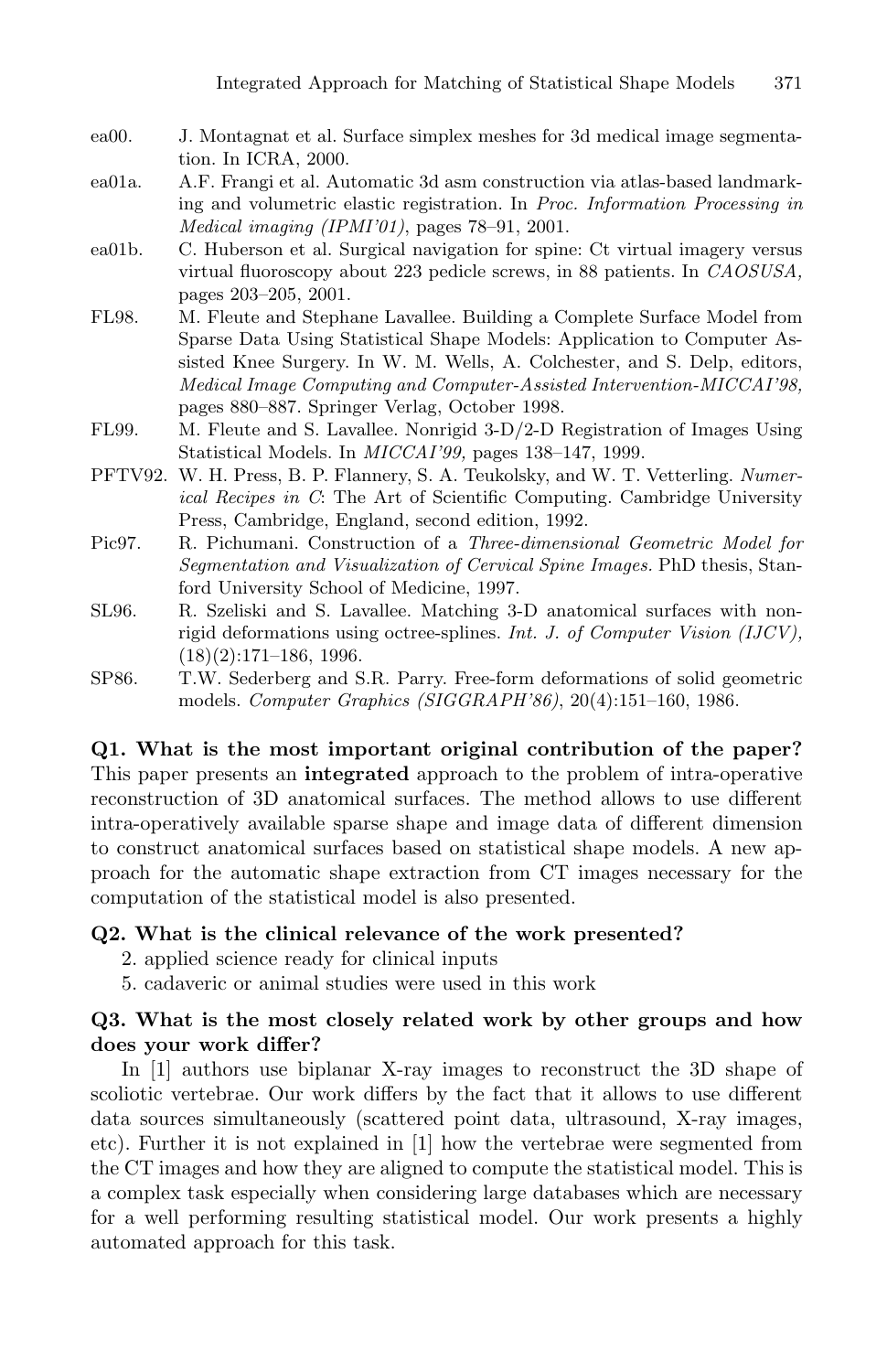- <span id="page-7-0"></span>ea00. J. Montagnat et al. Surface simplex meshes for 3d medical image segmentation. In ICRA, 2000.
- ea01a. A.F. Frangi et al. Automatic 3d asm construction via atlas-based landmarking and volumetric elastic registration. In Proc. Information Processing in Medical imaging (IPMI'01), pages 78–91, 2001.
- ea01b. C. Huberson et al. Surgical navigation for spine: Ct virtual imagery versus virtual fluoroscopy about 223 pedicle screws, in 88 patients. In CAOSUSA, pages 203–205, 2001.
- FL98. M. Fleute and Stephane Lavallee. Building a Complete Surface Model from Sparse Data Using Statistical Shape Models: Application to Computer Assisted Knee Surgery. In W. M. Wells, A. Colchester, and S. Delp, editors, Medical Image Computing and Computer-Assisted Intervention-MICCAI'98, pages 880–887. Springer Verlag, October 1998.
- FL99. M. Fleute and S. Lavallee. Nonrigid 3-D/2-D Registration of Images Using Statistical Models. In MICCAI'99, pages 138–147, 1999.
- PFTV92. W. H. Press, B. P. Flannery, S. A. Teukolsky, and W. T. Vetterling. Numerical Recipes in C: The Art of Scientific Computing. Cambridge University Press, Cambridge, England, second edition, 1992.
- Pic97. R. Pichumani. Construction of a Three-dimensional Geometric Model for Segmentation and Visualization of Cervical Spine Images. PhD thesis, Stanford University School of Medicine, 1997.
- SL96. R. Szeliski and S. Lavallee. Matching 3-D anatomical surfaces with nonrigid deformations using octree-splines. Int. J. of Computer Vision (IJCV),  $(18)(2):171-186, 1996.$
- SP86. T.W. Sederberg and S.R. Parry. Free-form deformations of solid geometric models. Computer Graphics (SIGGRAPH'86), 20(4):151–160, 1986.

**Q1. What is the most important original contribution of the paper?** This paper presents an **integrated** approach to the problem of intra-operative reconstruction of 3D anatomical surfaces. The method allows to use different intra-operatively available sparse shape and image data of different dimension to construct anatomical surfaces based on statistical shape models. A new approach for the automatic shape extraction from CT images necessary for the computation of the statistical model is also presented.

#### **Q2. What is the clinical relevance of the work presented?**

- 2. applied science ready for clinical inputs
- 5. cadaveric or animal studies were used in this work

#### **Q3. What is the most closely related work by other groups and how does your work differ?**

In [1] authors use biplanar X-ray images to reconstruct the 3D shape of scoliotic vertebrae. Our work differs by the fact that it allows to use different data sources simultaneously (scattered point data, ultrasound, X-ray images, etc). Further it is not explained in [1] how the vertebrae were segmented from the CT images and how they are aligned to compute the statistical model. This is a complex task especially when considering large databases which are necessary for a well performing resulting statistical model. Our work presents a highly automated approach for this task.